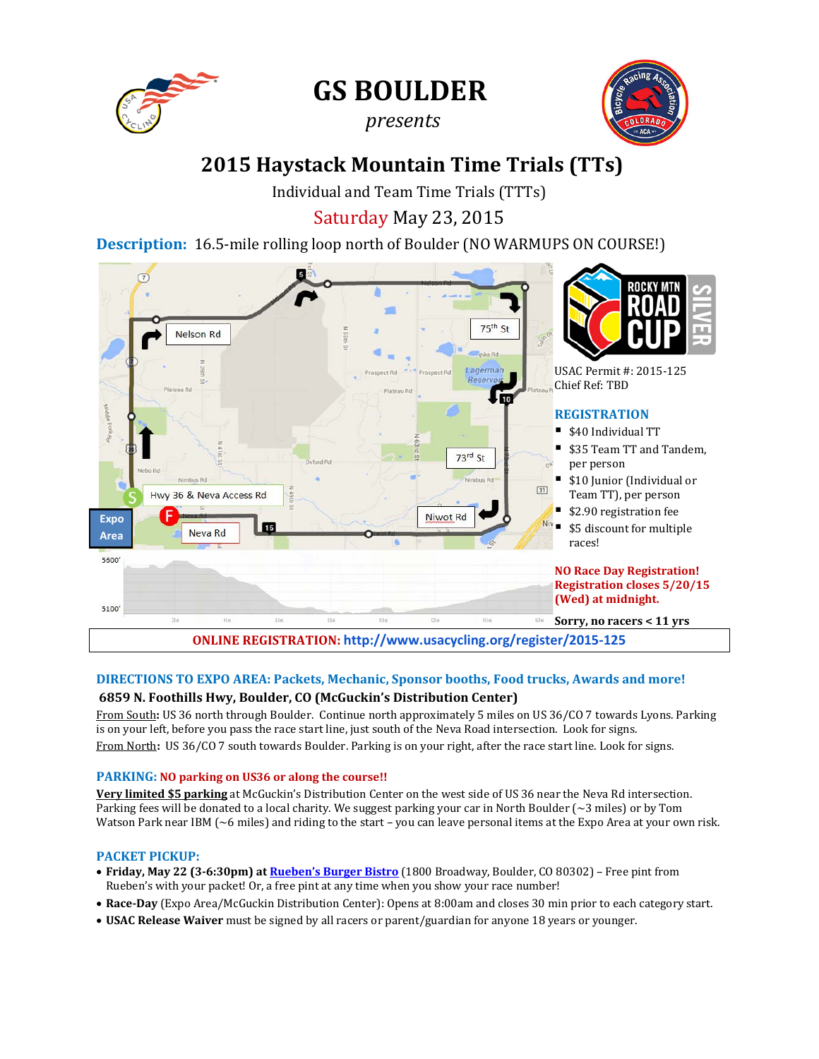

**GS BOULDER**

# *presents*



# **2015 Haystack Mountain Time Trials (TTs)**

Individual and Team Time Trials (TTTs)

Saturday May 23, 2015

**Description:** 16.5-mile rolling loop north of Boulder (NO WARMUPS ON COURSE!)



# **DIRECTIONS TO EXPO AREA: Packets, Mechanic, Sponsor booths, Food trucks, Awards and more! 6859 N. Foothills Hwy, Boulder, CO (McGuckin's Distribution Center)**

From South**:** US 36 north through Boulder. Continue north approximately 5 miles on US 36/CO 7 towards Lyons. Parking is on your left, before you pass the race start line, just south of the Neva Road intersection. Look for signs. From North**:** US 36/CO 7 south towards Boulder. Parking is on your right, after the race start line. Look for signs.

## **PARKING: NO parking on US36 or along the course!!**

**Very limited \$5 parking** at McGuckin's Distribution Center on the west side of US 36 near the Neva Rd intersection. Parking fees will be donated to a local charity. We suggest parking your car in North Boulder (~3 miles) or by Tom Watson Park near IBM ( $\sim$ 6 miles) and riding to the start – you can leave personal items at the Expo Area at your own risk.

## **PACKET PICKUP:**

- **Friday, May 22 (3-6:30pm) a[t Rueben's Burger Bistro](http://ruebensburgerbistro.com/)** (1800 Broadway, Boulder, CO 80302) Free pint from Rueben's with your packet! Or, a free pint at any time when you show your race number!
- **Race-Day** (Expo Area/McGuckin Distribution Center): Opens at 8:00am and closes 30 min prior to each category start.
- **USAC Release Waiver** must be signed by all racers or parent/guardian for anyone 18 years or younger.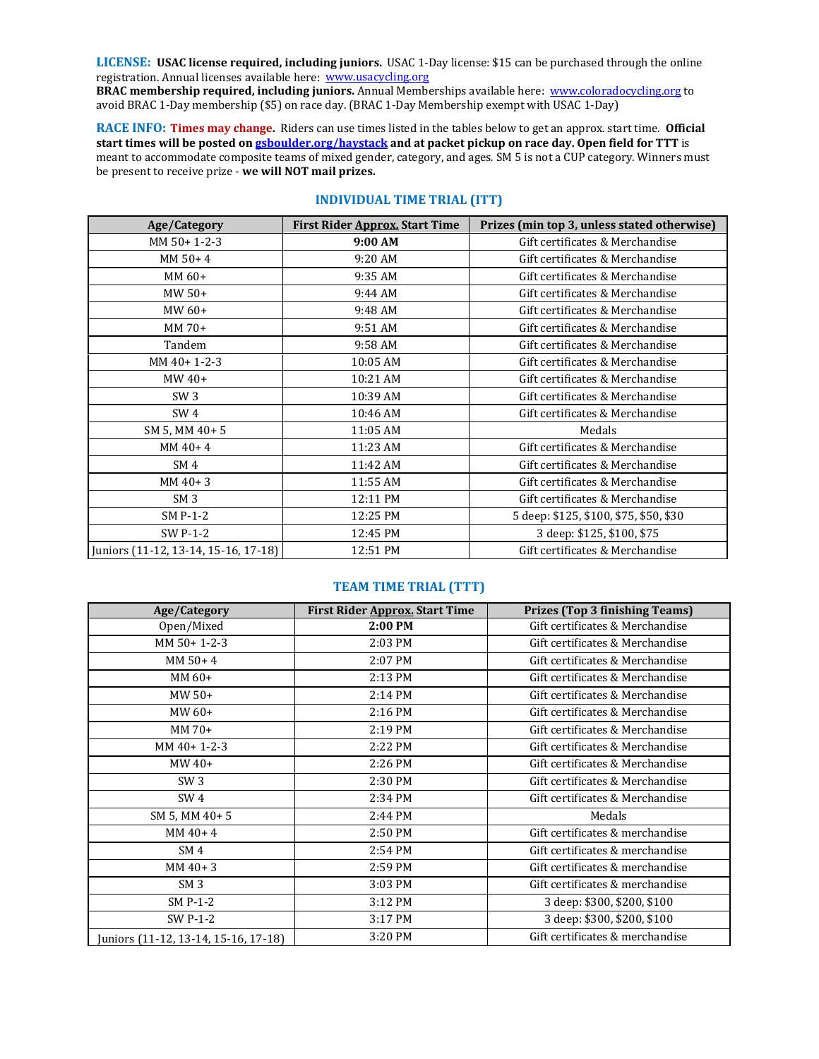**LICENSE: USAC license required, including juniors.** USAC 1-Day license: \$15 can be purchased through the online registration. Annual licenses available here: www.usacycling.org

**BRAC membership required, including juniors.** Annual Memberships available here: [www.coloradocycling.org](http://www.coloradocycling.org/) to avoid BRAC 1-Day membership (\$5) on race day. (BRAC 1-Day Membership exempt with USAC 1-Day)

**RACE INFO: Times may change.** Riders can use times listed in the tables below to get an approx. start time. **Official start times will be posted o[n gsboulder.org/haystack](http://gsboulder.org/haystack/) and at packet pickup on race day. Open field for TTT** is meant to accommodate composite teams of mixed gender, category, and ages. SM 5 is not a CUP category. Winners must be present to receive prize - **we will NOT mail prizes.** 

| Age/Category                         | First Rider Approx. Start Time | Prizes (min top 3, unless stated otherwise) |
|--------------------------------------|--------------------------------|---------------------------------------------|
| MM 50+ 1-2-3                         | 9:00 AM                        | Gift certificates & Merchandise             |
| $MM 50 + 4$                          | 9:20 AM                        | Gift certificates & Merchandise             |
| MM 60+                               | 9:35 AM                        | Gift certificates & Merchandise             |
| MW 50+                               | 9:44 AM                        | Gift certificates & Merchandise             |
| MW 60+                               | 9:48 AM                        | Gift certificates & Merchandise             |
| MM 70+                               | 9:51 AM                        | Gift certificates & Merchandise             |
| Tandem                               | 9:58 AM                        | Gift certificates & Merchandise             |
| MM 40+ 1-2-3                         | 10:05 AM                       | Gift certificates & Merchandise             |
| $MW40+$                              | 10:21 AM                       | Gift certificates & Merchandise             |
| SW <sub>3</sub>                      | 10:39 AM                       | Gift certificates & Merchandise             |
| SW <sub>4</sub>                      | 10:46 AM                       | Gift certificates & Merchandise             |
| SM 5, MM 40+5                        | 11:05 AM                       | Medals                                      |
| $MM40+4$                             | 11:23 AM                       | Gift certificates & Merchandise             |
| SM <sub>4</sub>                      | 11:42 AM                       | Gift certificates & Merchandise             |
| $MM40+3$                             | 11:55 AM                       | Gift certificates & Merchandise             |
| SM <sub>3</sub>                      | 12:11 PM                       | Gift certificates & Merchandise             |
| SM P-1-2                             | 12:25 PM                       | 5 deep: \$125, \$100, \$75, \$50, \$30      |
| SW P-1-2                             | 12:45 PM                       | 3 deep: \$125, \$100, \$75                  |
| Juniors (11-12, 13-14, 15-16, 17-18) | 12:51 PM                       | Gift certificates & Merchandise             |

# **INDIVIDUAL TIME TRIAL (ITT)**

#### **TEAM TIME TRIAL (TTT)**

| Age/Category                         | First Rider Approx. Start Time | <b>Prizes (Top 3 finishing Teams)</b> |
|--------------------------------------|--------------------------------|---------------------------------------|
| Open/Mixed                           | 2:00 PM                        | Gift certificates & Merchandise       |
| MM 50+ 1-2-3                         | 2:03 PM                        | Gift certificates & Merchandise       |
| $MM 50 + 4$                          | 2:07 PM                        | Gift certificates & Merchandise       |
| MM 60+                               | 2:13 PM                        | Gift certificates & Merchandise       |
| $MW50+$                              | 2:14 PM                        | Gift certificates & Merchandise       |
| MW $60+$                             | 2:16 PM                        | Gift certificates & Merchandise       |
| MM 70+                               | 2:19 PM                        | Gift certificates & Merchandise       |
| $MM40+1-2-3$                         | 2:22 PM                        | Gift certificates & Merchandise       |
| $MW40+$                              | 2:26 PM                        | Gift certificates & Merchandise       |
| SW <sub>3</sub>                      | 2:30 PM                        | Gift certificates & Merchandise       |
| SW <sub>4</sub>                      | 2:34 PM                        | Gift certificates & Merchandise       |
| SM 5, MM 40+5                        | 2:44 PM                        | Medals                                |
| $MM40+4$                             | 2:50 PM                        | Gift certificates & merchandise       |
| SM <sub>4</sub>                      | 2:54 PM                        | Gift certificates & merchandise       |
| $MM40+3$                             | 2:59 PM                        | Gift certificates & merchandise       |
| SM <sub>3</sub>                      | 3:03 PM                        | Gift certificates & merchandise       |
| SM P-1-2                             | 3:12 PM                        | 3 deep: \$300, \$200, \$100           |
| SW P-1-2                             | 3:17 PM                        | 3 deep: \$300, \$200, \$100           |
| Juniors (11-12, 13-14, 15-16, 17-18) | 3:20 PM                        | Gift certificates & merchandise       |